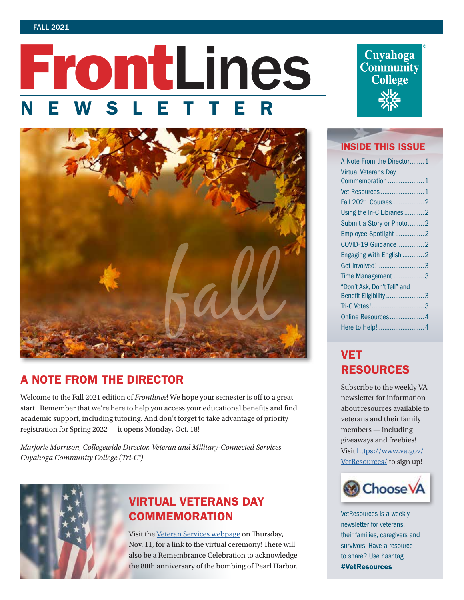#### FALL 2021

# FrontLines NEWSLETTER



# A NOTE FROM THE DIRECTOR

Welcome to the Fall 2021 edition of *Frontlines*! We hope your semester is off to a great start. Remember that we're here to help you access your educational benefits and find academic support, including tutoring. And don't forget to take advantage of priority registration for Spring 2022 — it opens Monday, Oct. 18!

*Marjorie Morrison, Collegewide Director, Veteran and Military-Connected Services Cuyahoga Community College (Tri-C®)*



# VIRTUAL VETERANS DAY **COMMEMORATION**

Visit the [Veteran Services webpage](https://www.tri-c.edu/veterans/) on Thursday, Nov. 11, for a link to the virtual ceremony! There will also be a Remembrance Celebration to acknowledge the 80th anniversary of the bombing of Pearl Harbor.



### INSIDE THIS ISSUE

| A Note From the Director1   |  |
|-----------------------------|--|
| <b>Virtual Veterans Day</b> |  |
| Commemoration  1            |  |
|                             |  |
| Fall 2021 Courses 2         |  |
| Using the Tri-C Libraries 2 |  |
| Submit a Story or Photo2    |  |
| Employee Spotlight 2        |  |
| COVID-19 Guidance2          |  |
| Engaging With English2      |  |
| Get Involved! 3             |  |
| Time Management 3           |  |
| "Don't Ask, Don't Tell" and |  |
| Benefit Eligibility 3       |  |
| Tri-C Votes!3               |  |
| Online Resources 4          |  |
|                             |  |
|                             |  |

# **VET** RESOURCES

Subscribe to the weekly VA newsletter for information about resources available to veterans and their family members — including giveaways and freebies! Visit [https://www.va.gov/](https://www.va.gov/VetResources/) [VetResources/](https://www.va.gov/VetResources/) to sign up!



VetResources is a weekly newsletter for veterans, their families, caregivers and survivors. Have a resource to share? Use hashtag #VetResources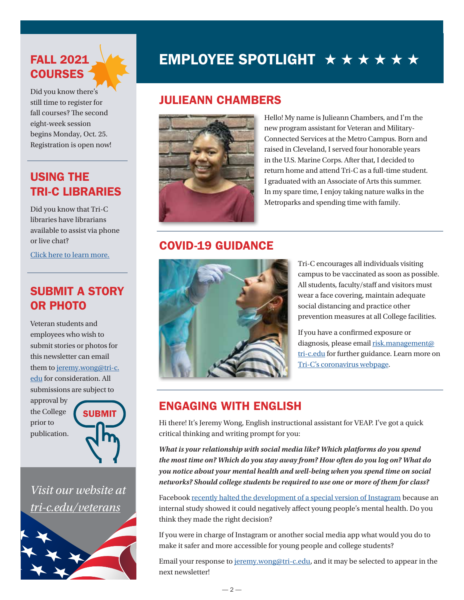# <span id="page-1-0"></span>FALL 2021 **COURSES**

Did you know there's still time to register for fall courses? The second eight-week session begins Monday, Oct. 25. Registration is open now!

# USING THE TRI-C LIBRARIES

Did you know that Tri-C libraries have librarians available to assist via phone or live chat?

[Click here to learn more.](https://www.tri-c.edu/learning-commons/library/index.html)

# SUBMIT A STORY OR PHOTO

Veteran students and employees who wish to submit stories or photos for this newsletter can email them to [jeremy.wong@tri-c.](mailto:jeremy.wong%40tri-c.edu?subject=) [edu](mailto:jeremy.wong%40tri-c.edu?subject=) for consideration. All submissions are subject to

approval by the College prior to publication.



*Visit our website at [tri-c.edu/veterans](https://www.tri-c.edu/veterans/)*



# EMPLOYEE SPOTLIGHT  $\star \star \star \star \star \star \star$

# JULIEANN CHAMBERS



Hello! My name is Julieann Chambers, and I'm the new program assistant for Veteran and Military-Connected Services at the Metro Campus. Born and raised in Cleveland, I served four honorable years in the U.S. Marine Corps. After that, I decided to return home and attend Tri-C as a full-time student. I graduated with an Associate of Arts this summer. In my spare time, I enjoy taking nature walks in the Metroparks and spending time with family.

## COVID-19 GUIDANCE



Tri-C encourages all individuals visiting campus to be vaccinated as soon as possible. All students, faculty/staff and visitors must wear a face covering, maintain adequate social distancing and practice other prevention measures at all College facilities.

If you have a confirmed exposure or diagnosis, please email [risk.management@](mailto:risk.management%40tri-c.edu?subject=) [tri-c.edu](mailto:risk.management%40tri-c.edu?subject=) for further guidance. Learn more on [Tri-C's coronavirus webpage.](https://www.tri-c.edu/administrative-departments/business-continuity/covid-19/index.html)

# ENGAGING WITH ENGLISH

Hi there! It's Jeremy Wong, English instructional assistant for VEAP. I've got a quick critical thinking and writing prompt for you:

*What is your relationship with social media like? Which platforms do you spend the most time on? Which do you stay away from? How often do you log on? What do you notice about your mental health and well-being when you spend time on social networks? Should college students be required to use one or more of them for class?*

Facebook [recently halted the development of a special version of Instagram](https://www.theverge.com/2021/9/27/22696039/facebook-instagram-kids-app-pause-development-criticism) because an internal study showed it could negatively affect young people's mental health. Do you think they made the right decision?

If you were in charge of Instagram or another social media app what would you do to make it safer and more accessible for young people and college students?

Email your response to [jeremy.wong@tri-c.edu,](mailto:jeremy.wong%40tri-c.edu?subject=) and it may be selected to appear in the next newsletter!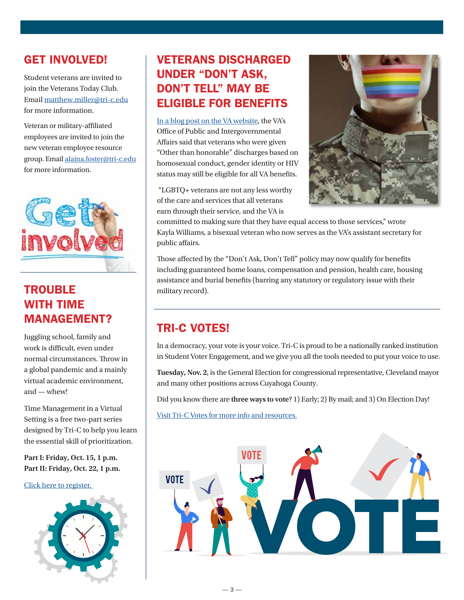## <span id="page-2-0"></span>GET INVOLVED!

Student veterans are invited to join the Veterans Today Club. Email [matthew.miller@tri-c.edu](mailto:matthew.miller%40tri-c.edu?subject=) for more information.

Veteran or military-affiliated employees are invited to join the new veteran employee resource group. Email [alaina.foster@tri-c.edu](mailto:alaina.foster%40tri-c.edu?subject=) for more information.



# **TROUBLE** WITH TIME MANAGEMENT?

Juggling school, family and work is difficult, even under normal circumstances. Throw in a global pandemic and a mainly virtual academic environment, and — whew!

Time Management in a Virtual Setting is a free two-part series designed by Tri-C to help you learn the essential skill of prioritization.

**Part I: Friday, Oct. 15, 1 p.m. Part II: Friday, Oct. 22, 1 p.m.**

[Click here to register.](https://events.tri-c.edu/event/time_management_in_a_virtual_setting_part_i_3497#.YWm2aC2ZOGR) 



# VETERANS DISCHARGED UNDER "DON'T ASK, DON'T TELL" MAY BE ELIGIBLE FOR BENEFITS

[In a blog post on the VA website](https://blogs.va.gov/VAntage/94920/tenth-anniversary-of-the-repeal-of-dont-ask-dont-tell/), the VA's Office of Public and Intergovernmental Affairs said that veterans who were given "Other than honorable" discharges based on homosexual conduct, gender identity or HIV status may still be eligible for all VA benefits.

 "LGBTQ+ veterans are not any less worthy of the care and services that all veterans earn through their service, and the VA is



committed to making sure that they have equal access to those services," wrote Kayla Williams, a bisexual veteran who now serves as the VA's assistant secretary for public affairs.

Those affected by the "Don't Ask, Don't Tell" policy may now qualify for benefits including guaranteed home loans, compensation and pension, health care, housing assistance and burial benefits (barring any statutory or regulatory issue with their military record).

# TRI-C VOTES!

In a democracy, your vote is your voice. Tri-C is proud to be a nationally ranked institution in Student Voter Engagement, and we give you all the tools needed to put your voice to use.

**Tuesday, Nov. 2**, is the General Election for congressional representative, Cleveland mayor and many other positions across Cuyahoga County.

Did you know there are **three ways to vote**? 1) Early; 2) By mail; and 3) On Election Day!

[Visit Tri-C Votes for more info and resources.](https://www.tri-c.edu/administrative-departments/government-relations/tri-c-votes/index.html)